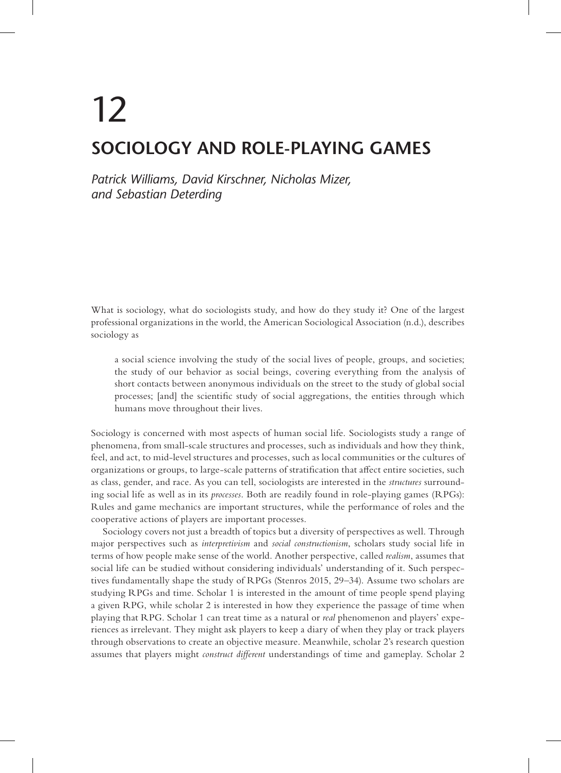# 12 **Sociology and Role-Playing Games**

*Patrick Williams, David Kirschner, Nicholas Mizer, and Sebastian Deterding*

What is sociology, what do sociologists study, and how do they study it? One of the largest professional organizations in the world, the American Sociological Association (n.d.), describes sociology as

a social science involving the study of the social lives of people, groups, and societies; the study of our behavior as social beings, covering everything from the analysis of short contacts between anonymous individuals on the street to the study of global social processes; [and] the scientific study of social aggregations, the entities through which humans move throughout their lives.

Sociology is concerned with most aspects of human social life. Sociologists study a range of phenomena, from small-scale structures and processes, such as individuals and how they think, feel, and act, to mid-level structures and processes, such as local communities or the cultures of organizations or groups, to large-scale patterns of stratification that affect entire societies, such as class, gender, and race. As you can tell, sociologists are interested in the *structures* surrounding social life as well as in its *processes*. Both are readily found in role-playing games (RPGs): Rules and game mechanics are important structures, while the performance of roles and the cooperative actions of players are important processes.

Sociology covers not just a breadth of topics but a diversity of perspectives as well. Through major perspectives such as *interpretivism* and *social constructionism*, scholars study social life in terms of how people make sense of the world. Another perspective, called *realism*, assumes that social life can be studied without considering individuals' understanding of it. Such perspectives fundamentally shape the study of RPGs (Stenros 2015, 29–34). Assume two scholars are studying RPGs and time. Scholar 1 is interested in the amount of time people spend playing a given RPG, while scholar 2 is interested in how they experience the passage of time when playing that RPG. Scholar 1 can treat time as a natural or *real* phenomenon and players' experiences as irrelevant. They might ask players to keep a diary of when they play or track players through observations to create an objective measure. Meanwhile, scholar 2's research question assumes that players might *construct different* understandings of time and gameplay. Scholar 2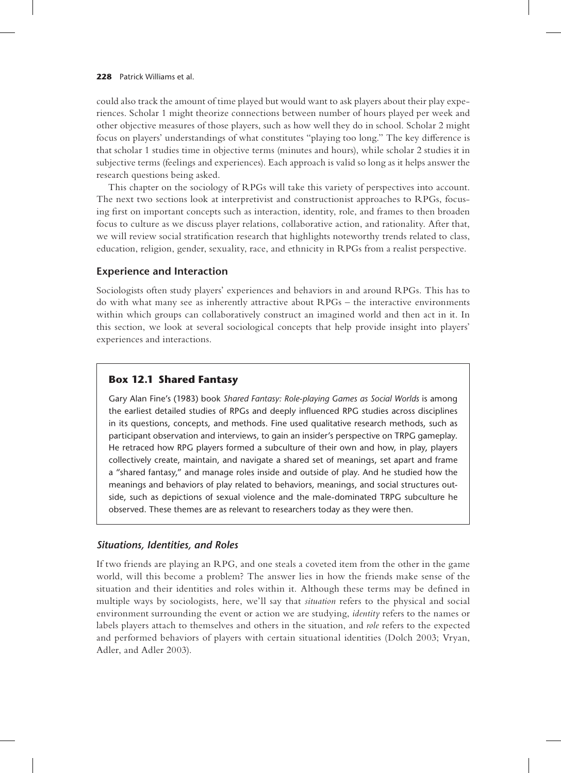could also track the amount of time played but would want to ask players about their play experiences. Scholar 1 might theorize connections between number of hours played per week and other objective measures of those players, such as how well they do in school. Scholar 2 might focus on players' understandings of what constitutes "playing too long." The key difference is that scholar 1 studies time in objective terms (minutes and hours), while scholar 2 studies it in subjective terms (feelings and experiences). Each approach is valid so long as it helps answer the research questions being asked.

This chapter on the sociology of RPGs will take this variety of perspectives into account. The next two sections look at interpretivist and constructionist approaches to RPGs, focusing first on important concepts such as interaction, identity, role, and frames to then broaden focus to culture as we discuss player relations, collaborative action, and rationality. After that, we will review social stratification research that highlights noteworthy trends related to class, education, religion, gender, sexuality, race, and ethnicity in RPGs from a realist perspective.

## **Experience and Interaction**

Sociologists often study players' experiences and behaviors in and around RPGs. This has to do with what many see as inherently attractive about RPGs – the interactive environments within which groups can collaboratively construct an imagined world and then act in it. In this section, we look at several sociological concepts that help provide insight into players' experiences and interactions.

# **Box 12.1 Shared Fantasy**

Gary Alan Fine's (1983) book *Shared Fantasy: Role-playing Games as Social Worlds* is among the earliest detailed studies of RPGs and deeply influenced RPG studies across disciplines in its questions, concepts, and methods. Fine used qualitative research methods, such as participant observation and interviews, to gain an insider's perspective on TRPG gameplay. He retraced how RPG players formed a subculture of their own and how, in play, players collectively create, maintain, and navigate a shared set of meanings, set apart and frame a "shared fantasy," and manage roles inside and outside of play. And he studied how the meanings and behaviors of play related to behaviors, meanings, and social structures outside, such as depictions of sexual violence and the male-dominated TRPG subculture he observed. These themes are as relevant to researchers today as they were then.

## *Situations, Identities, and Roles*

If two friends are playing an RPG, and one steals a coveted item from the other in the game world, will this become a problem? The answer lies in how the friends make sense of the situation and their identities and roles within it. Although these terms may be defined in multiple ways by sociologists, here, we'll say that *situation* refers to the physical and social environment surrounding the event or action we are studying, *identity* refers to the names or labels players attach to themselves and others in the situation, and *role* refers to the expected and performed behaviors of players with certain situational identities (Dolch 2003; Vryan, Adler, and Adler 2003).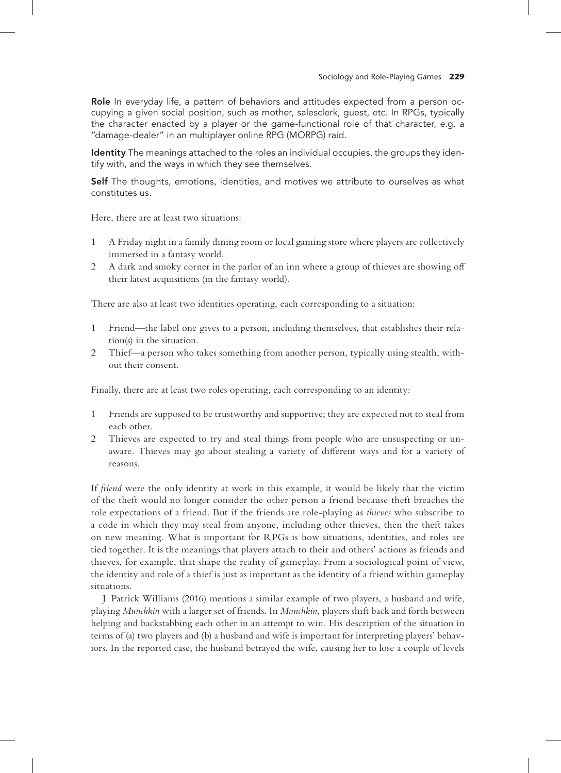Role In everyday life, a pattern of behaviors and attitudes expected from a person occupying a given social position, such as mother, salesclerk, guest, etc. In RPGs, typically the character enacted by a player or the game-functional role of that character, e.g. a "damage-dealer" in an multiplayer online RPG (MORPG) raid.

Identity The meanings attached to the roles an individual occupies, the groups they identify with, and the ways in which they see themselves.

Self The thoughts, emotions, identities, and motives we attribute to ourselves as what constitutes us.

Here, there are at least two situations:

- 1 A Friday night in a family dining room or local gaming store where players are collectively immersed in a fantasy world.
- 2 A dark and smoky corner in the parlor of an inn where a group of thieves are showing off their latest acquisitions (in the fantasy world).

There are also at least two identities operating, each corresponding to a situation:

- 1 Friend—the label one gives to a person, including themselves, that establishes their relation(s) in the situation.
- 2 Thief—a person who takes something from another person, typically using stealth, without their consent.

Finally, there are at least two roles operating, each corresponding to an identity:

- 1 Friends are supposed to be trustworthy and supportive; they are expected not to steal from each other.
- 2 Thieves are expected to try and steal things from people who are unsuspecting or unaware. Thieves may go about stealing a variety of different ways and for a variety of reasons.

If *friend* were the only identity at work in this example, it would be likely that the victim of the theft would no longer consider the other person a friend because theft breaches the role expectations of a friend. But if the friends are role-playing as *thieves* who subscribe to a code in which they may steal from anyone, including other thieves, then the theft takes on new meaning. What is important for RPGs is how situations, identities, and roles are tied together. It is the meanings that players attach to their and others' actions as friends and thieves, for example, that shape the reality of gameplay. From a sociological point of view, the identity and role of a thief is just as important as the identity of a friend within gameplay situations.

J. Patrick Williams (2016) mentions a similar example of two players, a husband and wife, playing *Munchkin* with a larger set of friends. In *Munchkin*, players shift back and forth between helping and backstabbing each other in an attempt to win. His description of the situation in terms of (a) two players and (b) a husband and wife is important for interpreting players' behaviors. In the reported case, the husband betrayed the wife, causing her to lose a couple of levels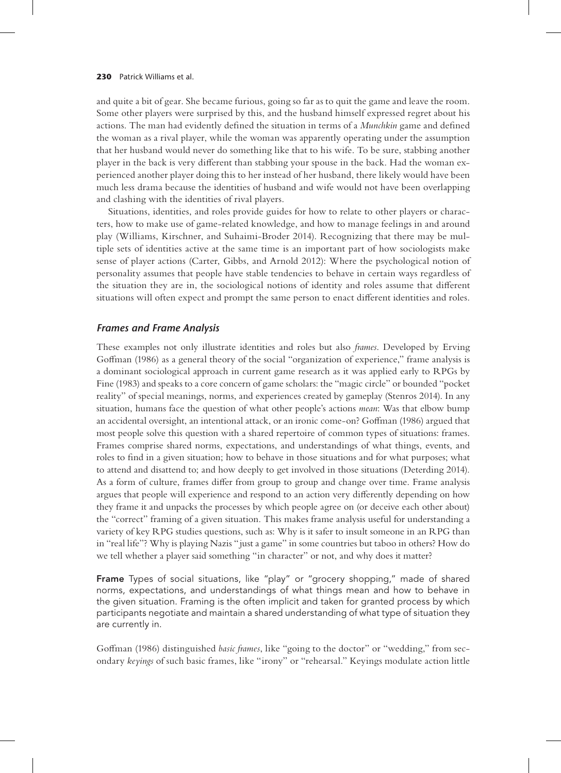and quite a bit of gear. She became furious, going so far as to quit the game and leave the room. Some other players were surprised by this, and the husband himself expressed regret about his actions. The man had evidently defined the situation in terms of a *Munchkin* game and defined the woman as a rival player, while the woman was apparently operating under the assumption that her husband would never do something like that to his wife. To be sure, stabbing another player in the back is very different than stabbing your spouse in the back. Had the woman experienced another player doing this to her instead of her husband, there likely would have been much less drama because the identities of husband and wife would not have been overlapping and clashing with the identities of rival players.

Situations, identities, and roles provide guides for how to relate to other players or characters, how to make use of game-related knowledge, and how to manage feelings in and around play (Williams, Kirschner, and Suhaimi-Broder 2014). Recognizing that there may be multiple sets of identities active at the same time is an important part of how sociologists make sense of player actions (Carter, Gibbs, and Arnold 2012): Where the psychological notion of personality assumes that people have stable tendencies to behave in certain ways regardless of the situation they are in, the sociological notions of identity and roles assume that different situations will often expect and prompt the same person to enact different identities and roles.

## *Frames and Frame Analysis*

These examples not only illustrate identities and roles but also *frames*. Developed by Erving Goffman (1986) as a general theory of the social "organization of experience," frame analysis is a dominant sociological approach in current game research as it was applied early to RPGs by Fine (1983) and speaks to a core concern of game scholars: the "magic circle" or bounded "pocket reality" of special meanings, norms, and experiences created by gameplay (Stenros 2014). In any situation, humans face the question of what other people's actions *mean*: Was that elbow bump an accidental oversight, an intentional attack, or an ironic come-on? Goffman (1986) argued that most people solve this question with a shared repertoire of common types of situations: frames. Frames comprise shared norms, expectations, and understandings of what things, events, and roles to find in a given situation; how to behave in those situations and for what purposes; what to attend and disattend to; and how deeply to get involved in those situations (Deterding 2014). As a form of culture, frames differ from group to group and change over time. Frame analysis argues that people will experience and respond to an action very differently depending on how they frame it and unpacks the processes by which people agree on (or deceive each other about) the "correct" framing of a given situation. This makes frame analysis useful for understanding a variety of key RPG studies questions, such as: Why is it safer to insult someone in an RPG than in "real life"? Why is playing Nazis "just a game" in some countries but taboo in others? How do we tell whether a player said something "in character" or not, and why does it matter?

Frame Types of social situations, like "play" or "grocery shopping," made of shared norms, expectations, and understandings of what things mean and how to behave in the given situation. Framing is the often implicit and taken for granted process by which participants negotiate and maintain a shared understanding of what type of situation they are currently in.

Goffman (1986) distinguished *basic frames*, like "going to the doctor" or "wedding," from secondary *keyings* of such basic frames, like "irony" or "rehearsal." Keyings modulate action little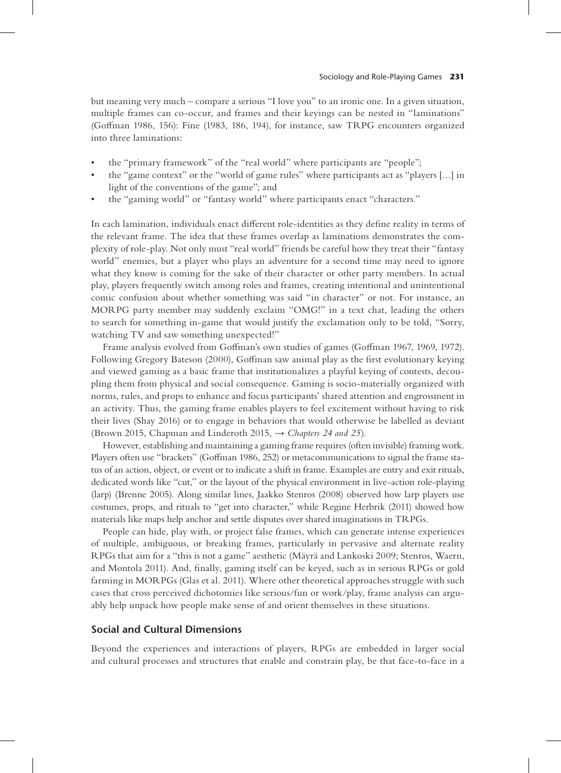but meaning very much – compare a serious "I love you" to an ironic one. In a given situation, multiple frames can co-occur, and frames and their keyings can be nested in "laminations" (Goffman 1986, 156): Fine (1983, 186, 194), for instance, saw TRPG encounters organized into three laminations:

- the "primary framework" of the "real world" where participants are "people";
- the "game context" or the "world of game rules" where participants act as "players  $[...]$  in light of the conventions of the game"; and
- the "gaming world" or "fantasy world" where participants enact "characters."

In each lamination, individuals enact different role-identities as they define reality in terms of the relevant frame. The idea that these frames overlap as laminations demonstrates the complexity of role-play. Not only must "real world" friends be careful how they treat their "fantasy world" enemies, but a player who plays an adventure for a second time may need to ignore what they know is coming for the sake of their character or other party members. In actual play, players frequently switch among roles and frames, creating intentional and unintentional comic confusion about whether something was said "in character" or not. For instance, an MORPG party member may suddenly exclaim "OMG!" in a text chat, leading the others to search for something in-game that would justify the exclamation only to be told, "Sorry, watching TV and saw something unexpected!"

Frame analysis evolved from Goffman's own studies of games (Goffman 1967, 1969, 1972). Following Gregory Bateson (2000), Goffman saw animal play as the first evolutionary keying and viewed gaming as a basic frame that institutionalizes a playful keying of contests, decoupling them from physical and social consequence. Gaming is socio-materially organized with norms, rules, and props to enhance and focus participants' shared attention and engrossment in an activity. Thus, the gaming frame enables players to feel excitement without having to risk their lives (Shay 2016) or to engage in behaviors that would otherwise be labelled as deviant (Brown 2015, Chapman and Linderoth 2015, *→ Chapters 24 and 25*).

However, establishing and maintaining a gaming frame requires (often invisible) framing work. Players often use "brackets" (Goffman 1986, 252) or metacommunications to signal the frame status of an action, object, or event or to indicate a shift in frame. Examples are entry and exit rituals, dedicated words like "cut," or the layout of the physical environment in live-action role-playing (larp) (Brenne 2005). Along similar lines, Jaakko Stenros (2008) observed how larp players use costumes, props, and rituals to "get into character," while Regine Herbrik (2011) showed how materials like maps help anchor and settle disputes over shared imaginations in TRPGs.

People can hide, play with, or project false frames, which can generate intense experiences of multiple, ambiguous, or breaking frames, particularly in pervasive and alternate reality RPGs that aim for a "this is not a game" aesthetic (Mäyrä and Lankoski 2009; Stenros, Waern, and Montola 2011). And, finally, gaming itself can be keyed, such as in serious RPGs or gold farming in MORPGs (Glas et al. 2011). Where other theoretical approaches struggle with such cases that cross perceived dichotomies like serious/fun or work/play, frame analysis can arguably help unpack how people make sense of and orient themselves in these situations.

# **Social and Cultural Dimensions**

Beyond the experiences and interactions of players, RPGs are embedded in larger social and cultural processes and structures that enable and constrain play, be that face-to-face in a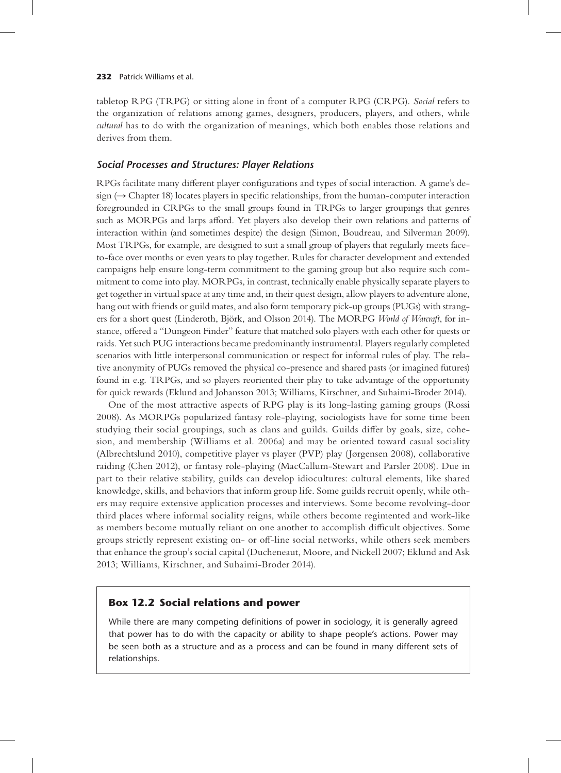tabletop RPG (TRPG) or sitting alone in front of a computer RPG (CRPG). *Social* refers to the organization of relations among games, designers, producers, players, and others, while *cultural* has to do with the organization of meanings, which both enables those relations and derives from them.

## *Social Processes and Structures: Player Relations*

RPGs facilitate many different player configurations and types of social interaction. A game's design (*→* Chapter 18) locates players in specific relationships, from the human-computer interaction foregrounded in CRPGs to the small groups found in TRPGs to larger groupings that genres such as MORPGs and larps afford. Yet players also develop their own relations and patterns of interaction within (and sometimes despite) the design (Simon, Boudreau, and Silverman 2009). Most TRPGs, for example, are designed to suit a small group of players that regularly meets faceto-face over months or even years to play together. Rules for character development and extended campaigns help ensure long-term commitment to the gaming group but also require such commitment to come into play. MORPGs, in contrast, technically enable physically separate players to get together in virtual space at any time and, in their quest design, allow players to adventure alone, hang out with friends or guild mates, and also form temporary pick-up groups (PUGs) with strangers for a short quest (Linderoth, Björk, and Olsson 2014). The MORPG *World of Warcraft*, for instance, offered a "Dungeon Finder" feature that matched solo players with each other for quests or raids. Yet such PUG interactions became predominantly instrumental. Players regularly completed scenarios with little interpersonal communication or respect for informal rules of play. The relative anonymity of PUGs removed the physical co-presence and shared pasts (or imagined futures) found in e.g. TRPGs, and so players reoriented their play to take advantage of the opportunity for quick rewards (Eklund and Johansson 2013; Williams, Kirschner, and Suhaimi-Broder 2014).

One of the most attractive aspects of RPG play is its long-lasting gaming groups (Rossi 2008). As MORPGs popularized fantasy role-playing, sociologists have for some time been studying their social groupings, such as clans and guilds. Guilds differ by goals, size, cohesion, and membership (Williams et al. 2006a) and may be oriented toward casual sociality (Albrechtslund 2010), competitive player vs player (PVP) play (Jørgensen 2008), collaborative raiding (Chen 2012), or fantasy role-playing (MacCallum-Stewart and Parsler 2008). Due in part to their relative stability, guilds can develop idiocultures: cultural elements, like shared knowledge, skills, and behaviors that inform group life. Some guilds recruit openly, while others may require extensive application processes and interviews. Some become revolving-door third places where informal sociality reigns, while others become regimented and work-like as members become mutually reliant on one another to accomplish difficult objectives. Some groups strictly represent existing on- or off-line social networks, while others seek members that enhance the group's social capital (Ducheneaut, Moore, and Nickell 2007; Eklund and Ask 2013; Williams, Kirschner, and Suhaimi-Broder 2014).

# **Box 12.2 Social relations and power**

While there are many competing definitions of power in sociology, it is generally agreed that power has to do with the capacity or ability to shape people's actions. Power may be seen both as a structure and as a process and can be found in many different sets of relationships.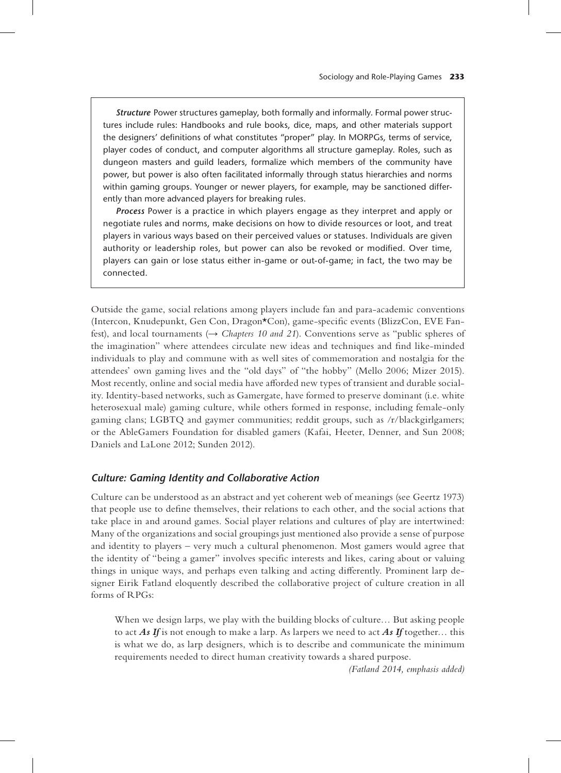*Structure* Power structures gameplay, both formally and informally. Formal power structures include rules: Handbooks and rule books, dice, maps, and other materials support the designers' definitions of what constitutes "proper" play. In MORPGs, terms of service, player codes of conduct, and computer algorithms all structure gameplay. Roles, such as dungeon masters and guild leaders, formalize which members of the community have power, but power is also often facilitated informally through status hierarchies and norms within gaming groups. Younger or newer players, for example, may be sanctioned differently than more advanced players for breaking rules.

*Process* Power is a practice in which players engage as they interpret and apply or negotiate rules and norms, make decisions on how to divide resources or loot, and treat players in various ways based on their perceived values or statuses. Individuals are given authority or leadership roles, but power can also be revoked or modified. Over time, players can gain or lose status either in-game or out-of-game; in fact, the two may be connected.

Outside the game, social relations among players include fan and para-academic conventions (Intercon, Knudepunkt, Gen Con, Dragon\*Con), game-specific events (BlizzCon, EVE Fanfest), and local tournaments (*→ Chapters 10 and 21*). Conventions serve as "public spheres of the imagination" where attendees circulate new ideas and techniques and find like-minded individuals to play and commune with as well sites of commemoration and nostalgia for the attendees' own gaming lives and the "old days" of "the hobby" (Mello 2006; Mizer 2015). Most recently, online and social media have afforded new types of transient and durable sociality. Identity-based networks, such as Gamergate, have formed to preserve dominant (i.e. white heterosexual male) gaming culture, while others formed in response, including female-only gaming clans; LGBTQ and gaymer communities; reddit groups, such as /r/blackgirlgamers; or the AbleGamers Foundation for disabled gamers (Kafai, Heeter, Denner, and Sun 2008; Daniels and LaLone 2012; Sunden 2012).

# *Culture: Gaming Identity and Collaborative Action*

Culture can be understood as an abstract and yet coherent web of meanings (see Geertz 1973) that people use to define themselves, their relations to each other, and the social actions that take place in and around games. Social player relations and cultures of play are intertwined: Many of the organizations and social groupings just mentioned also provide a sense of purpose and identity to players – very much a cultural phenomenon. Most gamers would agree that the identity of "being a gamer" involves specific interests and likes, caring about or valuing things in unique ways, and perhaps even talking and acting differently. Prominent larp designer Eirik Fatland eloquently described the collaborative project of culture creation in all forms of RPGs:

When we design larps, we play with the building blocks of culture… But asking people to act *As If* is not enough to make a larp. As larpers we need to act *As If* together… this is what we do, as larp designers, which is to describe and communicate the minimum requirements needed to direct human creativity towards a shared purpose.

*(Fatland 2014, emphasis added)*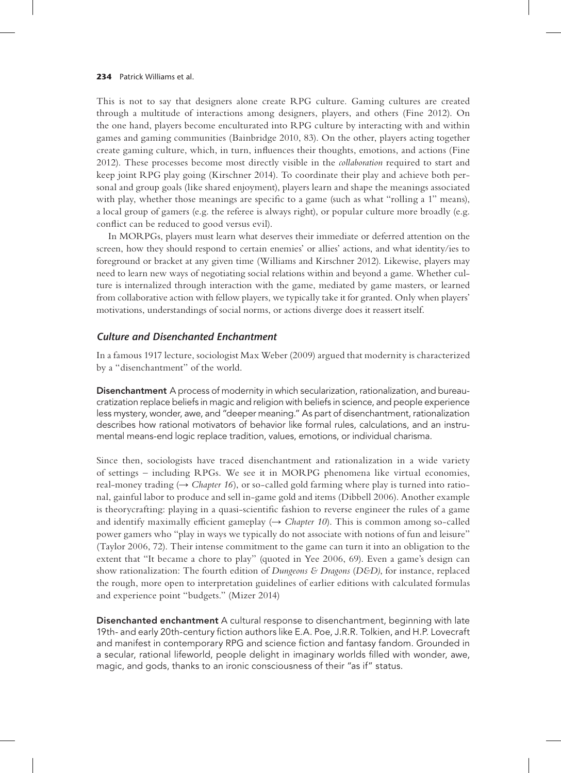This is not to say that designers alone create RPG culture. Gaming cultures are created through a multitude of interactions among designers, players, and others (Fine 2012). On the one hand, players become enculturated into RPG culture by interacting with and within games and gaming communities (Bainbridge 2010, 83). On the other, players acting together create gaming culture, which, in turn, influences their thoughts, emotions, and actions (Fine 2012). These processes become most directly visible in the *collaboration* required to start and keep joint RPG play going (Kirschner 2014). To coordinate their play and achieve both personal and group goals (like shared enjoyment), players learn and shape the meanings associated with play, whether those meanings are specific to a game (such as what "rolling a 1" means), a local group of gamers (e.g. the referee is always right), or popular culture more broadly (e.g. conflict can be reduced to good versus evil).

In MORPGs, players must learn what deserves their immediate or deferred attention on the screen, how they should respond to certain enemies' or allies' actions, and what identity/ies to foreground or bracket at any given time (Williams and Kirschner 2012). Likewise, players may need to learn new ways of negotiating social relations within and beyond a game. Whether culture is internalized through interaction with the game, mediated by game masters, or learned from collaborative action with fellow players, we typically take it for granted. Only when players' motivations, understandings of social norms, or actions diverge does it reassert itself.

# *Culture and Disenchanted Enchantment*

In a famous 1917 lecture, sociologist Max Weber (2009) argued that modernity is characterized by a "disenchantment" of the world.

Disenchantment A process of modernity in which secularization, rationalization, and bureaucratization replace beliefs in magic and religion with beliefs in science, and people experience less mystery, wonder, awe, and "deeper meaning." As part of disenchantment, rationalization describes how rational motivators of behavior like formal rules, calculations, and an instrumental means-end logic replace tradition, values, emotions, or individual charisma.

Since then, sociologists have traced disenchantment and rationalization in a wide variety of settings – including RPGs. We see it in MORPG phenomena like virtual economies, real-money trading (*→ Chapter 16*), or so-called gold farming where play is turned into rational, gainful labor to produce and sell in-game gold and items (Dibbell 2006). Another example is theorycrafting: playing in a quasi-scientific fashion to reverse engineer the rules of a game and identify maximally efficient gameplay (*→ Chapter 10*). This is common among so-called power gamers who "play in ways we typically do not associate with notions of fun and leisure" (Taylor 2006, 72). Their intense commitment to the game can turn it into an obligation to the extent that "It became a chore to play" (quoted in Yee 2006, 69). Even a game's design can show rationalization: The fourth edition of *Dungeons & Dragons* (*D&D)*, for instance, replaced the rough, more open to interpretation guidelines of earlier editions with calculated formulas and experience point "budgets." (Mizer 2014)

**Disenchanted enchantment** A cultural response to disenchantment, beginning with late 19th- and early 20th-century fiction authors like E.A. Poe, J.R.R. Tolkien, and H.P. Lovecraft and manifest in contemporary RPG and science fiction and fantasy fandom. Grounded in a secular, rational lifeworld, people delight in imaginary worlds filled with wonder, awe, magic, and gods, thanks to an ironic consciousness of their "as if" status.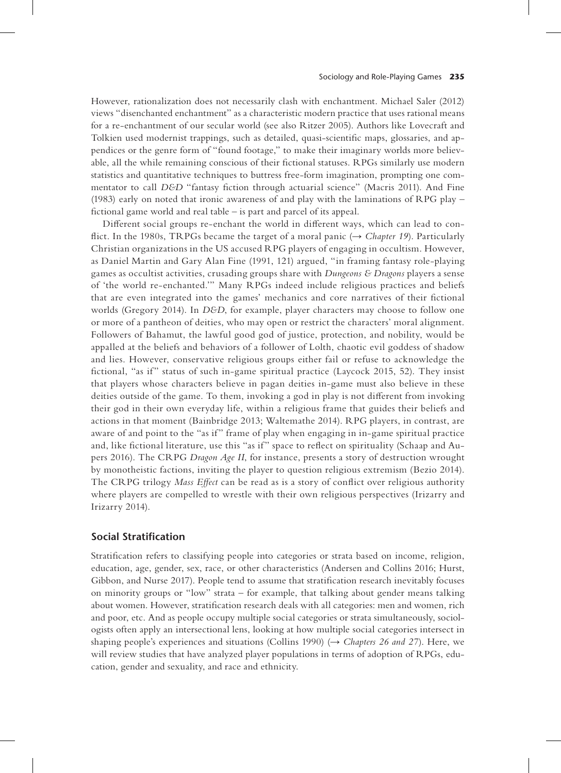However, rationalization does not necessarily clash with enchantment. Michael Saler (2012) views "disenchanted enchantment" as a characteristic modern practice that uses rational means for a re-enchantment of our secular world (see also Ritzer 2005). Authors like Lovecraft and Tolkien used modernist trappings, such as detailed, quasi-scientific maps, glossaries, and appendices or the genre form of "found footage," to make their imaginary worlds more believable, all the while remaining conscious of their fictional statuses. RPGs similarly use modern statistics and quantitative techniques to buttress free-form imagination, prompting one commentator to call *D&D* "fantasy fiction through actuarial science" (Macris 2011). And Fine (1983) early on noted that ironic awareness of and play with the laminations of RPG play – fictional game world and real table – is part and parcel of its appeal.

Different social groups re-enchant the world in different ways, which can lead to conflict. In the 1980s, TRPGs became the target of a moral panic (*→ Chapter 19*). Particularly Christian organizations in the US accused RPG players of engaging in occultism. However, as Daniel Martin and Gary Alan Fine (1991, 121) argued, "in framing fantasy role-playing games as occultist activities, crusading groups share with *Dungeons & Dragons* players a sense of 'the world re-enchanted.'" Many RPGs indeed include religious practices and beliefs that are even integrated into the games' mechanics and core narratives of their fictional worlds (Gregory 2014). In *D&D*, for example, player characters may choose to follow one or more of a pantheon of deities, who may open or restrict the characters' moral alignment. Followers of Bahamut, the lawful good god of justice, protection, and nobility, would be appalled at the beliefs and behaviors of a follower of Lolth, chaotic evil goddess of shadow and lies. However, conservative religious groups either fail or refuse to acknowledge the fictional, "as if" status of such in-game spiritual practice (Laycock 2015, 52). They insist that players whose characters believe in pagan deities in-game must also believe in these deities outside of the game. To them, invoking a god in play is not different from invoking their god in their own everyday life, within a religious frame that guides their beliefs and actions in that moment (Bainbridge 2013; Waltemathe 2014). RPG players, in contrast, are aware of and point to the "as if" frame of play when engaging in in-game spiritual practice and, like fictional literature, use this "as if" space to reflect on spirituality (Schaap and Aupers 2016). The CRPG *Dragon Age II*, for instance, presents a story of destruction wrought by monotheistic factions, inviting the player to question religious extremism (Bezio 2014). The CRPG trilogy *Mass Effect* can be read as is a story of conflict over religious authority where players are compelled to wrestle with their own religious perspectives (Irizarry and Irizarry 2014).

## **Social Stratification**

Stratification refers to classifying people into categories or strata based on income, religion, education, age, gender, sex, race, or other characteristics (Andersen and Collins 2016; Hurst, Gibbon, and Nurse 2017). People tend to assume that stratification research inevitably focuses on minority groups or "low" strata – for example, that talking about gender means talking about women. However, stratification research deals with all categories: men and women, rich and poor, etc. And as people occupy multiple social categories or strata simultaneously, sociologists often apply an intersectional lens, looking at how multiple social categories intersect in shaping people's experiences and situations (Collins 1990) (*→ Chapters 26 and 27*). Here, we will review studies that have analyzed player populations in terms of adoption of RPGs, education, gender and sexuality, and race and ethnicity.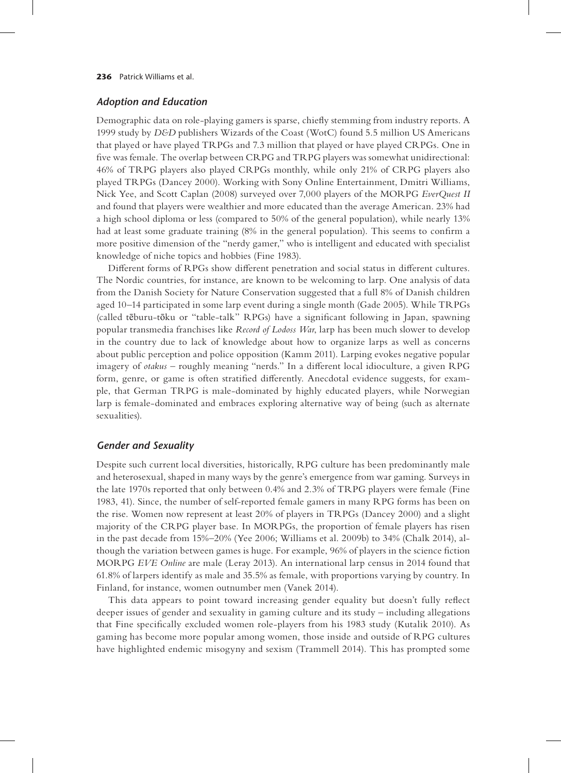## *Adoption and Education*

Demographic data on role-playing gamers is sparse, chiefly stemming from industry reports. A 1999 study by *D&D* publishers Wizards of the Coast (WotC) found 5.5 million US Americans that played or have played TRPGs and 7.3 million that played or have played CRPGs. One in five was female. The overlap between CRPG and TRPG players was somewhat unidirectional: 46% of TRPG players also played CRPGs monthly, while only 21% of CRPG players also played TRPGs (Dancey 2000). Working with Sony Online Entertainment, Dmitri Williams, Nick Yee, and Scott Caplan (2008) surveyed over 7,000 players of the MORPG *EverQuest II* and found that players were wealthier and more educated than the average American. 23% had a high school diploma or less (compared to 50% of the general population), while nearly 13% had at least some graduate training (8% in the general population). This seems to confirm a more positive dimension of the "nerdy gamer," who is intelligent and educated with specialist knowledge of niche topics and hobbies (Fine 1983).

Different forms of RPGs show different penetration and social status in different cultures. The Nordic countries, for instance, are known to be welcoming to larp. One analysis of data from the Danish Society for Nature Conservation suggested that a full 8% of Danish children aged 10–14 participated in some larp event during a single month (Gade 2005). While TRPGs (called tēburu-tōku or "table-talk" RPGs) have a significant following in Japan, spawning popular transmedia franchises like *Record of Lodoss War*, larp has been much slower to develop in the country due to lack of knowledge about how to organize larps as well as concerns about public perception and police opposition (Kamm 2011). Larping evokes negative popular imagery of *otakus* – roughly meaning "nerds." In a different local idioculture, a given RPG form, genre, or game is often stratified differently. Anecdotal evidence suggests, for example, that German TRPG is male-dominated by highly educated players, while Norwegian larp is female-dominated and embraces exploring alternative way of being (such as alternate sexualities).

## *Gender and Sexuality*

Despite such current local diversities, historically, RPG culture has been predominantly male and heterosexual, shaped in many ways by the genre's emergence from war gaming. Surveys in the late 1970s reported that only between 0.4% and 2.3% of TRPG players were female (Fine 1983, 41). Since, the number of self-reported female gamers in many RPG forms has been on the rise. Women now represent at least 20% of players in TRPGs (Dancey 2000) and a slight majority of the CRPG player base. In MORPGs, the proportion of female players has risen in the past decade from 15%–20% (Yee 2006; Williams et al. 2009b) to 34% (Chalk 2014), although the variation between games is huge. For example, 96% of players in the science fiction MORPG *EVE Online* are male (Leray 2013). An international larp census in 2014 found that 61.8% of larpers identify as male and 35.5% as female, with proportions varying by country. In Finland, for instance, women outnumber men (Vanek 2014).

This data appears to point toward increasing gender equality but doesn't fully reflect deeper issues of gender and sexuality in gaming culture and its study – including allegations that Fine specifically excluded women role-players from his 1983 study (Kutalik 2010). As gaming has become more popular among women, those inside and outside of RPG cultures have highlighted endemic misogyny and sexism (Trammell 2014). This has prompted some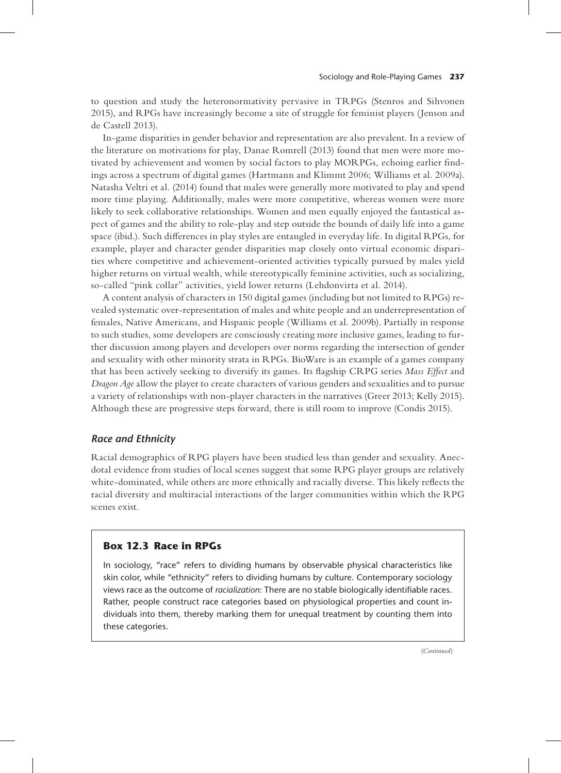to question and study the heteronormativity pervasive in TRPGs (Stenros and Sihvonen 2015), and RPGs have increasingly become a site of struggle for feminist players (Jenson and de Castell 2013).

In-game disparities in gender behavior and representation are also prevalent. In a review of the literature on motivations for play, Danae Romrell (2013) found that men were more motivated by achievement and women by social factors to play MORPGs, echoing earlier findings across a spectrum of digital games (Hartmann and Klimmt 2006; Williams et al. 2009a). Natasha Veltri et al. (2014) found that males were generally more motivated to play and spend more time playing. Additionally, males were more competitive, whereas women were more likely to seek collaborative relationships. Women and men equally enjoyed the fantastical aspect of games and the ability to role-play and step outside the bounds of daily life into a game space (ibid.). Such differences in play styles are entangled in everyday life. In digital RPGs, for example, player and character gender disparities map closely onto virtual economic disparities where competitive and achievement-oriented activities typically pursued by males yield higher returns on virtual wealth, while stereotypically feminine activities, such as socializing, so-called "pink collar" activities, yield lower returns (Lehdonvirta et al. 2014).

A content analysis of characters in 150 digital games (including but not limited to RPGs) revealed systematic over-representation of males and white people and an underrepresentation of females, Native Americans, and Hispanic people (Williams et al. 2009b). Partially in response to such studies, some developers are consciously creating more inclusive games, leading to further discussion among players and developers over norms regarding the intersection of gender and sexuality with other minority strata in RPGs. BioWare is an example of a games company that has been actively seeking to diversify its games. Its flagship CRPG series *Mass Effect* and *Dragon Age* allow the player to create characters of various genders and sexualities and to pursue a variety of relationships with non-player characters in the narratives (Greer 2013; Kelly 2015). Although these are progressive steps forward, there is still room to improve (Condis 2015).

# *Race and Ethnicity*

Racial demographics of RPG players have been studied less than gender and sexuality. Anecdotal evidence from studies of local scenes suggest that some RPG player groups are relatively white-dominated, while others are more ethnically and racially diverse. This likely reflects the racial diversity and multiracial interactions of the larger communities within which the RPG scenes exist.

# **Box 12.3 Race in RPGs**

In sociology, "race" refers to dividing humans by observable physical characteristics like skin color, while "ethnicity" refers to dividing humans by culture. Contemporary sociology views race as the outcome of *racialization*: There are no stable biologically identifiable races. Rather, people construct race categories based on physiological properties and count individuals into them, thereby marking them for unequal treatment by counting them into these categories.

(*Continued*)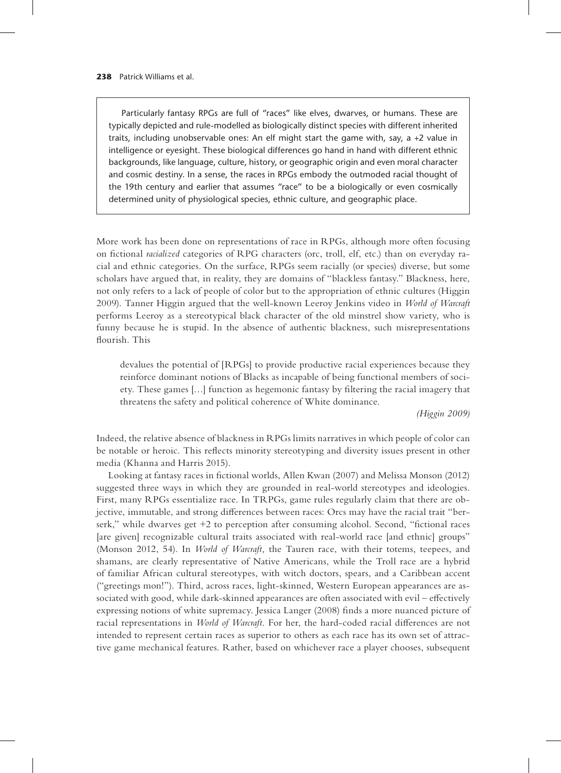Particularly fantasy RPGs are full of "races" like elves, dwarves, or humans. These are typically depicted and rule-modelled as biologically distinct species with different inherited traits, including unobservable ones: An elf might start the game with, say, a +2 value in intelligence or eyesight. These biological differences go hand in hand with different ethnic backgrounds, like language, culture, history, or geographic origin and even moral character and cosmic destiny. In a sense, the races in RPGs embody the outmoded racial thought of the 19th century and earlier that assumes "race" to be a biologically or even cosmically determined unity of physiological species, ethnic culture, and geographic place.

More work has been done on representations of race in RPGs, although more often focusing on fictional *racialized* categories of RPG characters (orc, troll, elf, etc.) than on everyday racial and ethnic categories. On the surface, RPGs seem racially (or species) diverse, but some scholars have argued that, in reality, they are domains of "blackless fantasy." Blackness, here, not only refers to a lack of people of color but to the appropriation of ethnic cultures (Higgin 2009). Tanner Higgin argued that the well-known Leeroy Jenkins video in *World of Warcraft* performs Leeroy as a stereotypical black character of the old minstrel show variety, who is funny because he is stupid. In the absence of authentic blackness, such misrepresentations flourish. This

devalues the potential of [RPGs] to provide productive racial experiences because they reinforce dominant notions of Blacks as incapable of being functional members of society. These games […] function as hegemonic fantasy by filtering the racial imagery that threatens the safety and political coherence of White dominance.

*(Higgin 2009)*

Indeed, the relative absence of blackness in RPGs limits narratives in which people of color can be notable or heroic. This reflects minority stereotyping and diversity issues present in other media (Khanna and Harris 2015).

Looking at fantasy races in fictional worlds, Allen Kwan (2007) and Melissa Monson (2012) suggested three ways in which they are grounded in real-world stereotypes and ideologies. First, many RPGs essentialize race. In TRPGs, game rules regularly claim that there are objective, immutable, and strong differences between races: Orcs may have the racial trait "berserk," while dwarves get +2 to perception after consuming alcohol. Second, "fictional races [are given] recognizable cultural traits associated with real-world race [and ethnic] groups" (Monson 2012, 54). In *World of Warcraft,* the Tauren race, with their totems, teepees, and shamans, are clearly representative of Native Americans, while the Troll race are a hybrid of familiar African cultural stereotypes, with witch doctors, spears, and a Caribbean accent ("greetings mon!"). Third, across races, light-skinned, Western European appearances are associated with good, while dark-skinned appearances are often associated with evil – effectively expressing notions of white supremacy. Jessica Langer (2008) finds a more nuanced picture of racial representations in *World of Warcraft*. For her, the hard-coded racial differences are not intended to represent certain races as superior to others as each race has its own set of attractive game mechanical features. Rather, based on whichever race a player chooses, subsequent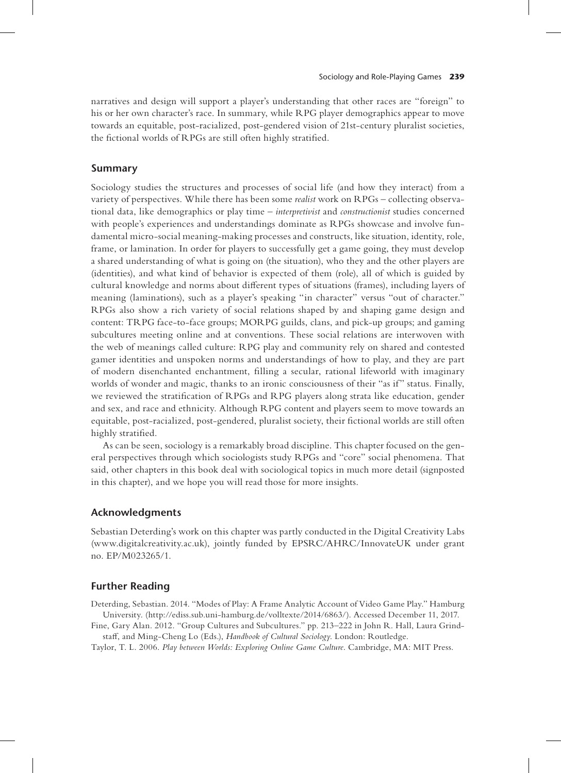narratives and design will support a player's understanding that other races are "foreign" to his or her own character's race. In summary, while RPG player demographics appear to move towards an equitable, post-racialized, post-gendered vision of 21st-century pluralist societies, the fictional worlds of RPGs are still often highly stratified.

# **Summary**

Sociology studies the structures and processes of social life (and how they interact) from a variety of perspectives. While there has been some *realist* work on RPGs – collecting observational data, like demographics or play time – *interpretivist* and *constructionist* studies concerned with people's experiences and understandings dominate as RPGs showcase and involve fundamental micro-social meaning-making processes and constructs, like situation, identity, role, frame, or lamination. In order for players to successfully get a game going, they must develop a shared understanding of what is going on (the situation), who they and the other players are (identities), and what kind of behavior is expected of them (role), all of which is guided by cultural knowledge and norms about different types of situations (frames), including layers of meaning (laminations), such as a player's speaking "in character" versus "out of character." RPGs also show a rich variety of social relations shaped by and shaping game design and content: TRPG face-to-face groups; MORPG guilds, clans, and pick-up groups; and gaming subcultures meeting online and at conventions. These social relations are interwoven with the web of meanings called culture: RPG play and community rely on shared and contested gamer identities and unspoken norms and understandings of how to play, and they are part of modern disenchanted enchantment, filling a secular, rational lifeworld with imaginary worlds of wonder and magic, thanks to an ironic consciousness of their "as if" status. Finally, we reviewed the stratification of RPGs and RPG players along strata like education, gender and sex, and race and ethnicity. Although RPG content and players seem to move towards an equitable, post-racialized, post-gendered, pluralist society, their fictional worlds are still often highly stratified.

As can be seen, sociology is a remarkably broad discipline. This chapter focused on the general perspectives through which sociologists study RPGs and "core" social phenomena. That said, other chapters in this book deal with sociological topics in much more detail (signposted in this chapter), and we hope you will read those for more insights.

# **Acknowledgments**

Sebastian Deterding's work on this chapter was partly conducted in the Digital Creativity Labs (www.digitalcreativity.ac.uk), jointly funded by EPSRC/AHRC/InnovateUK under grant no. EP/M023265/1.

# **Further Reading**

Deterding, Sebastian. 2014. "Modes of Play: A Frame Analytic Account of Video Game Play." Hamburg University. (http://ediss.sub.uni-hamburg.de/volltexte/2014/6863/). Accessed December 11, 2017.

Fine, Gary Alan. 2012. "Group Cultures and Subcultures." pp. 213–222 in John R. Hall, Laura Grindstaff, and Ming-Cheng Lo (Eds.), *Handbook of Cultural Sociology*. London: Routledge.

Taylor, T. L. 2006. *Play between Worlds: Exploring Online Game Culture*. Cambridge, MA: MIT Press.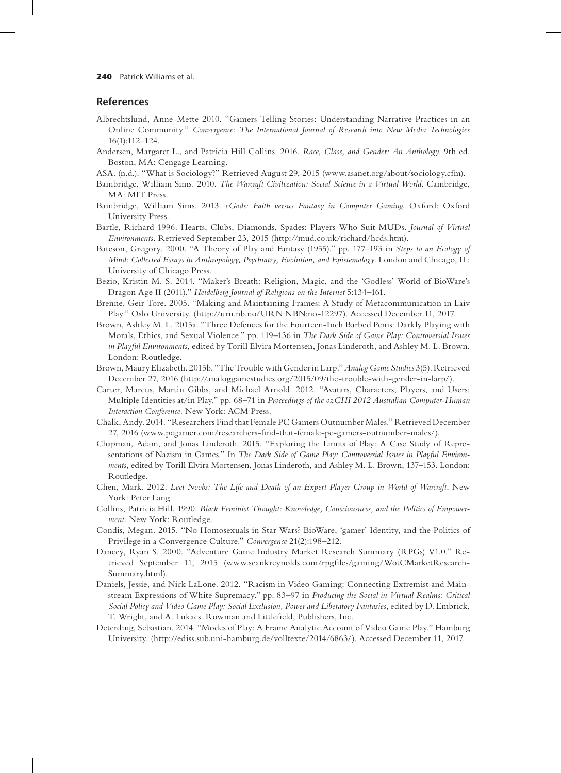#### **References**

- Albrechtslund, Anne-Mette 2010. "Gamers Telling Stories: Understanding Narrative Practices in an Online Community." *Convergence: The International Journal of Research into New Media Technologies* 16(1):112–124.
- Andersen, Margaret L., and Patricia Hill Collins. 2016. *Race, Class, and Gender: An Anthology*. 9th ed. Boston, MA: Cengage Learning.
- ASA. (n.d.). "What is Sociology?" Retrieved August 29, 2015 (www.asanet.org/about/sociology.cfm).
- Bainbridge, William Sims. 2010. *The Warcraft Civilization: Social Science in a Virtual World*. Cambridge, MA: MIT Press.
- Bainbridge, William Sims. 2013. *eGods: Faith versus Fantasy in Computer Gaming*. Oxford: Oxford University Press.
- Bartle, Richard 1996. Hearts, Clubs, Diamonds, Spades: Players Who Suit MUDs. *Journal of Virtual Environments*. Retrieved September 23, 2015 (http://mud.co.uk/richard/hcds.htm).
- Bateson, Gregory. 2000. "A Theory of Play and Fantasy (1955)." pp. 177–193 in *Steps to an Ecology of Mind: Collected Essays in Anthropology, Psychiatry, Evolution, and Epistemology*. London and Chicago, IL: University of Chicago Press.
- Bezio, Kristin M. S. 2014. "Maker's Breath: Religion, Magic, and the 'Godless' World of BioWare's Dragon Age II (2011)." *Heidelberg Journal of Religions on the Internet* 5:134–161.
- Brenne, Geir Tore. 2005. "Making and Maintaining Frames: A Study of Metacommunication in Laiv Play." Oslo University. (http://urn.nb.no/URN:NBN:no-12297). Accessed December 11, 2017.
- Brown, Ashley M. L. 2015a. "Three Defences for the Fourteen-Inch Barbed Penis: Darkly Playing with Morals, Ethics, and Sexual Violence." pp. 119–136 in *The Dark Side of Game Play: Controversial Issues in Playful Environments*, edited by Torill Elvira Mortensen, Jonas Linderoth, and Ashley M. L. Brown. London: Routledge.
- Brown, Maury Elizabeth. 2015b. "The Trouble with Gender in Larp." *Analog Game Studies* 3(5). Retrieved December 27, 2016 (http://analoggamestudies.org/2015/09/the-trouble-with-gender-in-larp/).
- Carter, Marcus, Martin Gibbs, and Michael Arnold. 2012. "Avatars, Characters, Players, and Users: Multiple Identities at/in Play." pp. 68–71 in *Proceedings of the ozCHI 2012 Australian Computer-Human Interaction Conference*. New York: ACM Press.
- Chalk, Andy. 2014. "Researchers Find that Female PC Gamers Outnumber Males." Retrieved December 27, 2016 (www.pcgamer.com/researchers-find-that-female-pc-gamers-outnumber-males/).
- Chapman, Adam, and Jonas Linderoth. 2015. "Exploring the Limits of Play: A Case Study of Representations of Nazism in Games." In *The Dark Side of Game Play: Controversial Issues in Playful Environments*, edited by Torill Elvira Mortensen, Jonas Linderoth, and Ashley M. L. Brown, 137–153. London: Routledge.
- Chen, Mark. 2012. *Leet Noobs: The Life and Death of an Expert Player Group in World of Warcraft*. New York: Peter Lang.
- Collins, Patricia Hill. 1990. *Black Feminist Thought: Knowledge, Consciousness, and the Politics of Empowerment*. New York: Routledge.
- Condis, Megan. 2015. "No Homosexuals in Star Wars? BioWare, 'gamer' Identity, and the Politics of Privilege in a Convergence Culture." *Convergence* 21(2):198–212.
- Dancey, Ryan S. 2000. "Adventure Game Industry Market Research Summary (RPGs) V1.0." Retrieved September 11, 2015 (www.seankreynolds.com/rpgfiles/gaming/WotCMarketResearch-Summary.html).
- Daniels, Jessie, and Nick LaLone. 2012. "Racism in Video Gaming: Connecting Extremist and Mainstream Expressions of White Supremacy." pp. 83–97 in *Producing the Social in Virtual Realms: Critical Social Policy and Video Game Play: Social Exclusion, Power and Liberatory Fantasies*, edited by D. Embrick, T. Wright, and A. Lukacs. Rowman and Littlefield, Publishers, Inc.
- Deterding, Sebastian. 2014. "Modes of Play: A Frame Analytic Account of Video Game Play." Hamburg University. (http://ediss.sub.uni-hamburg.de/volltexte/2014/6863/). Accessed December 11, 2017.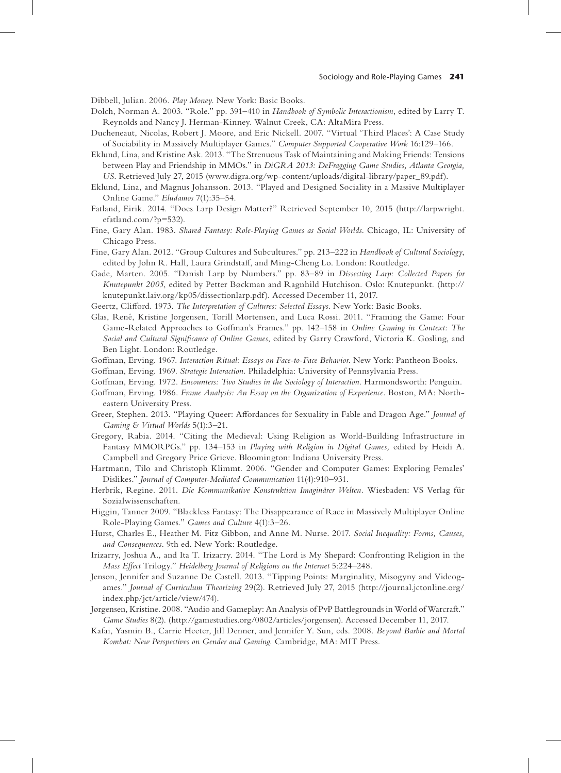Dibbell, Julian. 2006. *Play Money*. New York: Basic Books.

- Dolch, Norman A. 2003. "Role." pp. 391–410 in *Handbook of Symbolic Interactionism*, edited by Larry T. Reynolds and Nancy J. Herman-Kinney. Walnut Creek, CA: AltaMira Press.
- Ducheneaut, Nicolas, Robert J. Moore, and Eric Nickell. 2007. "Virtual 'Third Places': A Case Study of Sociability in Massively Multiplayer Games." *Computer Supported Cooperative Work* 16:129–166.
- Eklund, Lina, and Kristine Ask. 2013. "The Strenuous Task of Maintaining and Making Friends: Tensions between Play and Friendship in MMOs." in *DiGRA 2013: DeFragging Game Studies, Atlanta Georgia, US*. Retrieved July 27, 2015 (www.digra.org/wp-content/uploads/digital-library/paper\_89.pdf).
- Eklund, Lina, and Magnus Johansson. 2013. "Played and Designed Sociality in a Massive Multiplayer Online Game." *Eludamos* 7(1):35–54.
- Fatland, Eirik. 2014. "Does Larp Design Matter?" Retrieved September 10, 2015 (http://larpwright. efatland.com/?p=532).
- Fine, Gary Alan. 1983. *Shared Fantasy: Role-Playing Games as Social Worlds*. Chicago, IL: University of Chicago Press.
- Fine, Gary Alan. 2012. "Group Cultures and Subcultures." pp. 213–222 in *Handbook of Cultural Sociology*, edited by John R. Hall, Laura Grindstaff, and Ming-Cheng Lo. London: Routledge.
- Gade, Marten. 2005. "Danish Larp by Numbers." pp. 83–89 in *Dissecting Larp: Collected Papers for Knutepunkt 2005*, edited by Petter Bøckman and Ragnhild Hutchison. Oslo: Knutepunkt. (http:// knutepunkt.laiv.org/kp05/dissectionlarp.pdf). Accessed December 11, 2017.

Geertz, Clifford. 1973. *The Interpretation of Cultures: Selected Essays*. New York: Basic Books.

- Glas, René, Kristine Jorgensen, Torill Mortensen, and Luca Rossi. 2011. "Framing the Game: Four Game-Related Approaches to Goffman's Frames." pp. 142–158 in *Online Gaming in Context: The Social and Cultural Significance of Online Games*, edited by Garry Crawford, Victoria K. Gosling, and Ben Light. London: Routledge.
- Goffman, Erving. 1967. *Interaction Ritual: Essays on Face-to-Face Behavior*. New York: Pantheon Books.
- Goffman, Erving. 1969. *Strategic Interaction.* Philadelphia: University of Pennsylvania Press.
- Goffman, Erving. 1972. *Encounters: Two Studies in the Sociology of Interaction*. Harmondsworth: Penguin.
- Goffman, Erving. 1986. *Frame Analysis: An Essay on the Organization of Experience.* Boston, MA: Northeastern University Press.
- Greer, Stephen. 2013. "Playing Queer: Affordances for Sexuality in Fable and Dragon Age." *Journal of Gaming & Virtual Worlds* 5(1):3–21.
- Gregory, Rabia. 2014. "Citing the Medieval: Using Religion as World-Building Infrastructure in Fantasy MMORPGs." pp. 134–153 in *Playing with Religion in Digital Games,* edited by Heidi A. Campbell and Gregory Price Grieve. Bloomington: Indiana University Press.
- Hartmann, Tilo and Christoph Klimmt. 2006. "Gender and Computer Games: Exploring Females' Dislikes." *Journal of Computer-Mediated Communication* 11(4):910–931.
- Herbrik, Regine. 2011. *Die Kommunikative Konstruktion Imaginärer Welten.* Wiesbaden: VS Verlag für Sozialwissenschaften.
- Higgin, Tanner 2009. "Blackless Fantasy: The Disappearance of Race in Massively Multiplayer Online Role-Playing Games." *Games and Culture* 4(1):3–26.
- Hurst, Charles E., Heather M. Fitz Gibbon, and Anne M. Nurse. 2017. *Social Inequality: Forms, Causes, and Consequences*. 9th ed. New York: Routledge.
- Irizarry, Joshua A., and Ita T. Irizarry. 2014. "The Lord is My Shepard: Confronting Religion in the *Mass Effect* Trilogy." *Heidelberg Journal of Religions on the Internet* 5:224–248.
- Jenson, Jennifer and Suzanne De Castell. 2013. "Tipping Points: Marginality, Misogyny and Videogames." *Journal of Curriculum Theorizing* 29(2). Retrieved July 27, 2015 (http://journal.jctonline.org/ index.php/jct/article/view/474).
- Jørgensen, Kristine. 2008. "Audio and Gameplay: An Analysis of PvP Battlegrounds in World of Warcraft." *Game Studies* 8(2). (http://gamestudies.org/0802/articles/jorgensen). Accessed December 11, 2017.
- Kafai, Yasmin B., Carrie Heeter, Jill Denner, and Jennifer Y. Sun, eds. 2008. *Beyond Barbie and Mortal Kombat: New Perspectives on Gender and Gaming.* Cambridge, MA: MIT Press.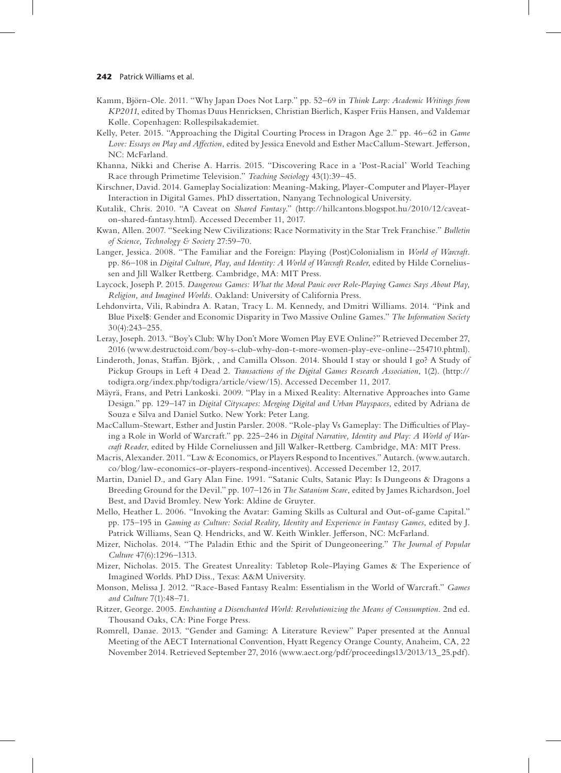- Kamm, Björn-Ole. 2011. "Why Japan Does Not Larp." pp. 52–69 in *Think Larp: Academic Writings from KP2011*, edited by Thomas Duus Henricksen, Christian Bierlich, Kasper Friis Hansen, and Valdemar Kølle. Copenhagen: Rollespilsakademiet.
- Kelly, Peter. 2015. "Approaching the Digital Courting Process in Dragon Age 2." pp. 46–62 in *Game Love: Essays on Play and Affection*, edited by Jessica Enevold and Esther MacCallum-Stewart. Jefferson, NC: McFarland.
- Khanna, Nikki and Cherise A. Harris. 2015. "Discovering Race in a 'Post-Racial' World Teaching Race through Primetime Television." *Teaching Sociology* 43(1):39–45.
- Kirschner, David. 2014. Gameplay Socialization: Meaning-Making, Player-Computer and Player-Player Interaction in Digital Games. PhD dissertation, Nanyang Technological University.
- Kutalik, Chris. 2010. "A Caveat on *Shared Fantasy*." (http://hillcantons.blogspot.hu/2010/12/caveaton-shared-fantasy.html). Accessed December 11, 2017.
- Kwan, Allen. 2007. "Seeking New Civilizations: Race Normativity in the Star Trek Franchise." *Bulletin of Science, Technology & Society* 27:59–70.
- Langer, Jessica. 2008. "The Familiar and the Foreign: Playing (Post)Colonialism in *World of Warcraft*. pp. 86–108 in *Digital Culture, Play, and Identity: A World of Warcraft Reader*, edited by Hilde Corneliussen and Jill Walker Rettberg. Cambridge, MA: MIT Press.
- Laycock, Joseph P. 2015. *Dangerous Games: What the Moral Panic over Role-Playing Games Says About Play, Religion, and Imagined Worlds*. Oakland: University of California Press.
- Lehdonvirta, Vili, Rabindra A. Ratan, Tracy L. M. Kennedy, and Dmitri Williams. 2014. "Pink and Blue Pixel\$: Gender and Economic Disparity in Two Massive Online Games." *The Information Society* 30(4):243–255.
- Leray, Joseph. 2013. "Boy's Club: Why Don't More Women Play EVE Online?" Retrieved December 27, 2016 (www.destructoid.com/boy-s-club-why-don-t-more-women-play-eve-online--254710.phtml).
- Linderoth, Jonas, Staffan. Björk, , and Camilla Olsson. 2014. Should I stay or should I go? A Study of Pickup Groups in Left 4 Dead 2. *Transactions of the Digital Games Research Association*, 1(2). (http:// todigra.org/index.php/todigra/article/view/15). Accessed December 11, 2017.
- Mäyrä, Frans, and Petri Lankoski. 2009. "Play in a Mixed Reality: Alternative Approaches into Game Design." pp. 129–147 in *Digital Cityscapes: Merging Digital and Urban Playspaces*, edited by Adriana de Souza e Silva and Daniel Sutko. New York: Peter Lang.
- MacCallum-Stewart, Esther and Justin Parsler. 2008. "Role-play Vs Gameplay: The Difficulties of Playing a Role in World of Warcraft." pp. 225–246 in *Digital Narrative, Identity and Play: A World of Warcraft Reader*, edited by Hilde Corneliussen and Jill Walker-Rettberg. Cambridge, MA: MIT Press.
- Macris, Alexander. 2011. "Law & Economics, or Players Respond to Incentives." Autarch. (www.autarch. co/blog/law-economics-or-players-respond-incentives). Accessed December 12, 2017.
- Martin, Daniel D., and Gary Alan Fine. 1991. "Satanic Cults, Satanic Play: Is Dungeons & Dragons a Breeding Ground for the Devil." pp. 107–126 in *The Satanism Scare*, edited by James Richardson, Joel Best, and David Bromley. New York: Aldine de Gruyter.
- Mello, Heather L. 2006. "Invoking the Avatar: Gaming Skills as Cultural and Out-of-game Capital." pp. 175–195 in *Gaming as Culture: Social Reality, Identity and Experience in Fantasy Games*, edited by J. Patrick Williams, Sean Q. Hendricks, and W. Keith Winkler. Jefferson, NC: McFarland.
- Mizer, Nicholas. 2014. "The Paladin Ethic and the Spirit of Dungeoneering." *The Journal of Popular Culture* 47(6):1296–1313.
- Mizer, Nicholas. 2015. The Greatest Unreality: Tabletop Role-Playing Games & The Experience of Imagined Worlds. PhD Diss., Texas: A&M University.
- Monson, Melissa J. 2012. "Race-Based Fantasy Realm: Essentialism in the World of Warcraft." *Games and Culture* 7(1):48–71.
- Ritzer, George. 2005. *Enchanting a Disenchanted World: Revolutionizing the Means of Consumption*. 2nd ed. Thousand Oaks, CA: Pine Forge Press.
- Romrell, Danae. 2013. "Gender and Gaming: A Literature Review" Paper presented at the Annual Meeting of the AECT International Convention, Hyatt Regency Orange County, Anaheim, CA, 22 November 2014. Retrieved September 27, 2016 (www.aect.org/pdf/proceedings13/2013/13\_25.pdf).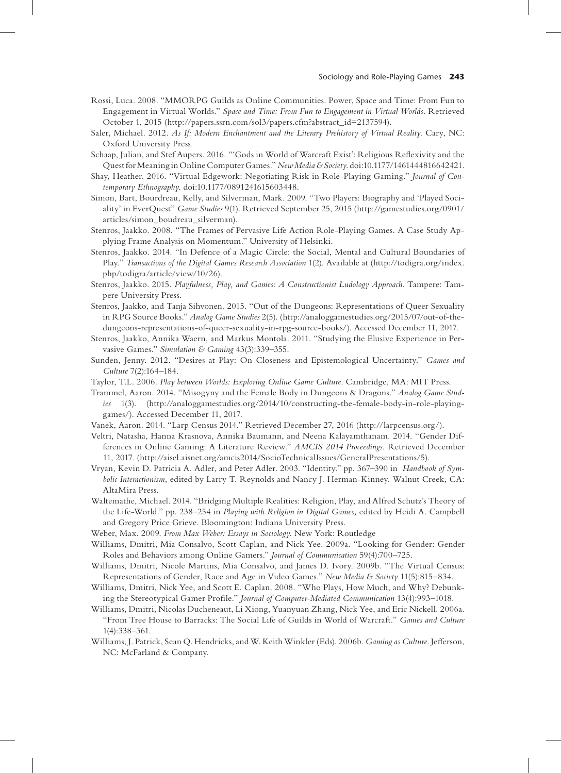- Rossi, Luca. 2008. "MMORPG Guilds as Online Communities. Power, Space and Time: From Fun to Engagement in Virtual Worlds." *Space and Time: From Fun to Engagement in Virtual Worlds.* Retrieved October 1, 2015 (http://papers.ssrn.com/sol3/papers.cfm?abstract\_id=2137594).
- Saler, Michael. 2012. *As If: Modern Enchantment and the Literary Prehistory of Virtual Reality*. Cary, NC: Oxford University Press.
- Schaap, Julian, and Stef Aupers. 2016. "'Gods in World of Warcraft Exist': Religious Reflexivity and the Quest for Meaning in Online Computer Games." *New Media & Society*. doi:10.1177/1461444816642421.
- Shay, Heather. 2016. "Virtual Edgework: Negotiating Risk in Role-Playing Gaming." *Journal of Contemporary Ethnography*. doi:10.1177/0891241615603448.
- Simon, Bart, Bourdreau, Kelly, and Silverman, Mark. 2009. "Two Players: Biography and 'Played Sociality' in EverQuest" *Game Studies* 9(1). Retrieved September 25, 2015 (http://gamestudies.org/0901/ articles/simon\_boudreau\_silverman).
- Stenros, Jaakko. 2008. "The Frames of Pervasive Life Action Role-Playing Games. A Case Study Applying Frame Analysis on Momentum." University of Helsinki.
- Stenros, Jaakko. 2014. "In Defence of a Magic Circle: the Social, Mental and Cultural Boundaries of Play." *Transactions of the Digital Games Research Association* 1(2). Available at (http://todigra.org/index. php/todigra/article/view/10/26).
- Stenros, Jaakko. 2015. *Playfulness, Play, and Games: A Constructionist Ludology Approach*. Tampere: Tampere University Press.
- Stenros, Jaakko, and Tanja Sihvonen. 2015. "Out of the Dungeons: Representations of Queer Sexuality in RPG Source Books." *Analog Game Studies* 2(5). (http://analoggamestudies.org/2015/07/out-of-thedungeons-representations-of-queer-sexuality-in-rpg-source-books/). Accessed December 11, 2017.
- Stenros, Jaakko, Annika Waern, and Markus Montola. 2011. "Studying the Elusive Experience in Pervasive Games." *Simulation & Gaming* 43(3):339–355.
- Sunden, Jenny. 2012. "Desires at Play: On Closeness and Epistemological Uncertainty." *Games and Culture* 7(2):164–184.
- Taylor, T.L. 2006. *Play between Worlds: Exploring Online Game Culture*. Cambridge, MA: MIT Press.
- Trammel, Aaron. 2014. "Misogyny and the Female Body in Dungeons & Dragons." *Analog Game Studies* 1(3). (http://analoggamestudies.org/2014/10/constructing-the-female-body-in-role-playinggames/). Accessed December 11, 2017.
- Vanek, Aaron. 2014. "Larp Census 2014." Retrieved December 27, 2016 (http://larpcensus.org/).
- Veltri, Natasha, Hanna Krasnova, Annika Baumann, and Neena Kalayamthanam. 2014. "Gender Differences in Online Gaming: A Literature Review." *AMCIS 2014 Proceedings*. Retrieved December 11, 2017. (http://aisel.aisnet.org/amcis2014/SocioTechnicalIssues/GeneralPresentations/5).
- Vryan, Kevin D. Patricia A. Adler, and Peter Adler. 2003. "Identity." pp. 367–390 in *Handbook of Symbolic Interactionism*, edited by Larry T. Reynolds and Nancy J. Herman-Kinney. Walnut Creek, CA: AltaMira Press.
- Waltemathe, Michael. 2014. "Bridging Multiple Realities: Religion, Play, and Alfred Schutz's Theory of the Life-World." pp. 238–254 in *Playing with Religion in Digital Games,* edited by Heidi A. Campbell and Gregory Price Grieve. Bloomington: Indiana University Press.
- Weber, Max. 2009. *From Max Weber: Essays in Sociology*. New York: Routledge
- Williams, Dmitri, Mia Consalvo, Scott Caplan, and Nick Yee. 2009a. "Looking for Gender: Gender Roles and Behaviors among Online Gamers." *Journal of Communication* 59(4):700–725.
- Williams, Dmitri, Nicole Martins, Mia Consalvo, and James D. Ivory. 2009b. "The Virtual Census: Representations of Gender, Race and Age in Video Games." *New Media & Society* 11(5):815–834.
- Williams, Dmitri, Nick Yee, and Scott E. Caplan. 2008. "Who Plays, How Much, and Why? Debunking the Stereotypical Gamer Profile." *Journal of Computer-Mediated Communication* 13(4):993–1018.
- Williams, Dmitri, Nicolas Ducheneaut, Li Xiong, Yuanyuan Zhang, Nick Yee, and Eric Nickell. 2006a. "From Tree House to Barracks: The Social Life of Guilds in World of Warcraft." *Games and Culture* 1(4):338–361.
- Williams, J. Patrick, Sean Q. Hendricks, and W. Keith Winkler (Eds). 2006b. *Gaming as Culture*. Jefferson, NC: McFarland & Company.